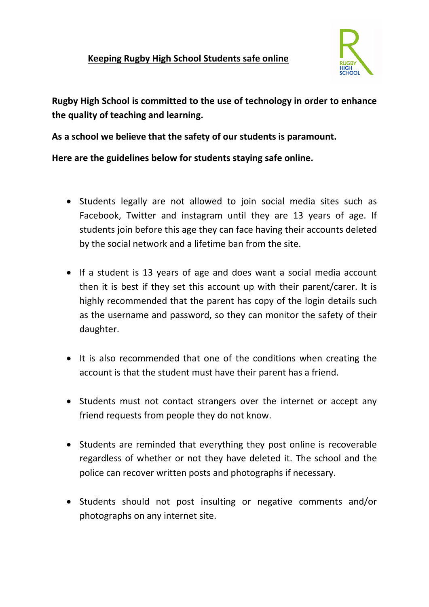

**Rugby High School is committed to the use of technology in order to enhance the quality of teaching and learning.**

**As a school we believe that the safety of our students is paramount.**

**Here are the guidelines below for students staying safe online.**

- Students legally are not allowed to join social media sites such as Facebook, Twitter and instagram until they are 13 years of age. If students join before this age they can face having their accounts deleted by the social network and a lifetime ban from the site.
- If a student is 13 years of age and does want a social media account then it is best if they set this account up with their parent/carer. It is highly recommended that the parent has copy of the login details such as the username and password, so they can monitor the safety of their daughter.
- It is also recommended that one of the conditions when creating the account is that the student must have their parent has a friend.
- Students must not contact strangers over the internet or accept any friend requests from people they do not know.
- Students are reminded that everything they post online is recoverable regardless of whether or not they have deleted it. The school and the police can recover written posts and photographs if necessary.
- Students should not post insulting or negative comments and/or photographs on any internet site.